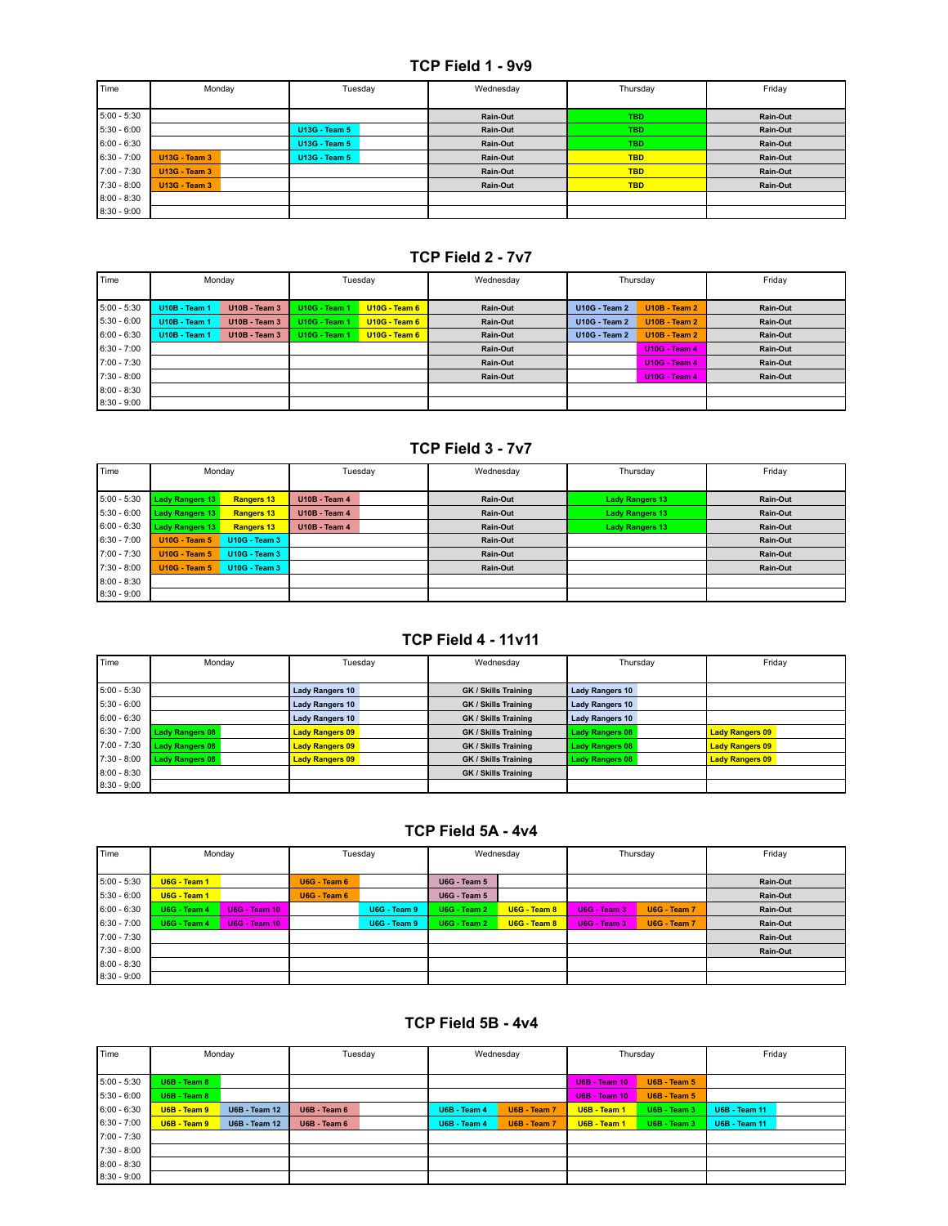#### **TCP Field 1 - 9v9**

| Time          | Monday               | Tuesday              | Wednesday | Thursday   | Friday   |
|---------------|----------------------|----------------------|-----------|------------|----------|
|               |                      |                      |           |            |          |
| $5:00 - 5:30$ |                      |                      | Rain-Out  | <b>TBD</b> | Rain-Out |
| $5:30 - 6:00$ |                      | <b>U13G - Team 5</b> | Rain-Out  | <b>TBD</b> | Rain-Out |
| $6:00 - 6:30$ |                      | <b>U13G - Team 5</b> | Rain-Out  | <b>TBD</b> | Rain-Out |
| $6:30 - 7:00$ | <b>U13G - Team 3</b> | <b>U13G - Team 5</b> | Rain-Out  | <b>TBD</b> | Rain-Out |
| 7:00 - 7:30   | <b>U13G - Team 3</b> |                      | Rain-Out  | <b>TBD</b> | Rain-Out |
| 7:30 - 8:00   | <b>U13G - Team 3</b> |                      | Rain-Out  | <b>TBD</b> | Rain-Out |
| $8:00 - 8:30$ |                      |                      |           |            |          |
| $8:30 - 9:00$ |                      |                      |           |            |          |

### **TCP Field 2 - 7v7**

| Time          | Monday               |                      | Tuesday              |                 | Wednesday | Thursday             |                      | Friday   |
|---------------|----------------------|----------------------|----------------------|-----------------|-----------|----------------------|----------------------|----------|
| 5:00 - 5:30   | <b>U10B - Team 1</b> | <b>U10B - Team 3</b> | <b>U10G - Team 1</b> | $U10G - Team 6$ | Rain-Out  | <b>U10G - Team 2</b> | $U10B - Team 2$      | Rain-Out |
| $5:30 - 6:00$ | <b>U10B - Team 1</b> | <b>U10B - Team 3</b> | <b>U10G - Team 1</b> | $U10G - Team 6$ | Rain-Out  | <b>U10G - Team 2</b> | $U10B - Team 2$      | Rain-Out |
| $6:00 - 6:30$ | <b>U10B - Team 1</b> | <b>U10B - Team 3</b> | <b>U10G - Team 1</b> | $U10G - Team 6$ | Rain-Out  | <b>U10G - Team 2</b> | <b>U10B - Team 2</b> | Rain-Out |
| $6:30 - 7:00$ |                      |                      |                      |                 | Rain-Out  |                      | <b>U10G - Team 4</b> | Rain-Out |
| 7:00 - 7:30   |                      |                      |                      |                 | Rain-Out  |                      | <b>U10G - Team 4</b> | Rain-Out |
| $7:30 - 8:00$ |                      |                      |                      |                 | Rain-Out  |                      | <b>U10G - Team 4</b> | Rain-Out |
| $8:00 - 8:30$ |                      |                      |                      |                 |           |                      |                      |          |
| $8:30 - 9:00$ |                      |                      |                      |                 |           |                      |                      |          |

#### **TCP Field 3 - 7v7**

| Time          | Monday                 |                      | Tuesday              | Wednesday | Thursday               | Friday   |
|---------------|------------------------|----------------------|----------------------|-----------|------------------------|----------|
|               |                        |                      |                      |           |                        |          |
| $5:00 - 5:30$ | <b>Lady Rangers 13</b> | <b>Rangers 13</b>    | <b>U10B - Team 4</b> | Rain-Out  | <b>Lady Rangers 13</b> | Rain-Out |
| $5:30 - 6:00$ | <b>Lady Rangers 13</b> | <b>Rangers 13</b>    | <b>U10B - Team 4</b> | Rain-Out  | <b>Lady Rangers 13</b> | Rain-Out |
| $6:00 - 6:30$ | <b>Lady Rangers 13</b> | <b>Rangers 13</b>    | <b>U10B - Team 4</b> | Rain-Out  | <b>Lady Rangers 13</b> | Rain-Out |
| $6:30 - 7:00$ | <b>U10G - Team 5</b>   | <b>U10G - Team 3</b> |                      | Rain-Out  |                        | Rain-Out |
| 7:00 - 7:30   | <b>U10G - Team 5</b>   | <b>U10G - Team 3</b> |                      | Rain-Out  |                        | Rain-Out |
| 7:30 - 8:00   | <b>U10G - Team 5</b>   | <b>U10G - Team 3</b> |                      | Rain-Out  |                        | Rain-Out |
| $8:00 - 8:30$ |                        |                      |                      |           |                        |          |
| $8:30 - 9:00$ |                        |                      |                      |           |                        |          |

## **TCP Field 4 - 11v11**

| Time          | Monday                 | Tuesday                | Wednesday            | Thursday               | Friday                 |
|---------------|------------------------|------------------------|----------------------|------------------------|------------------------|
|               |                        |                        |                      |                        |                        |
| $5:00 - 5:30$ |                        | <b>Lady Rangers 10</b> | GK / Skills Training | <b>Lady Rangers 10</b> |                        |
| $5:30 - 6:00$ |                        | <b>Lady Rangers 10</b> | GK / Skills Training | <b>Lady Rangers 10</b> |                        |
| $6:00 - 6:30$ |                        | <b>Lady Rangers 10</b> | GK / Skills Training | <b>Lady Rangers 10</b> |                        |
| $6:30 - 7:00$ | Lady Rangers 08        | <b>Lady Rangers 09</b> | GK / Skills Training | <b>Lady Rangers 08</b> | <b>Lady Rangers 09</b> |
| 7:00 - 7:30   | Lady Rangers 08        | <b>Lady Rangers 09</b> | GK / Skills Training | <b>Lady Rangers 08</b> | <b>Lady Rangers 09</b> |
| $7:30 - 8:00$ | <b>Lady Rangers 08</b> | <b>Lady Rangers 09</b> | GK / Skills Training | <b>Lady Rangers 08</b> | <b>Lady Rangers 09</b> |
| $8:00 - 8:30$ |                        |                        | GK / Skills Training |                        |                        |
| $8:30 - 9:00$ |                        |                        |                      |                        |                        |

#### **TCP Field 5A - 4v4**

| Time          |              | Monday               |              | Tuesday      | Wednesday           |              | Thursday     |              | Friday   |
|---------------|--------------|----------------------|--------------|--------------|---------------------|--------------|--------------|--------------|----------|
|               |              |                      |              |              |                     |              |              |              |          |
| $5:00 - 5:30$ | U6G - Team 1 |                      | U6G - Team 6 |              | <b>U6G - Team 5</b> |              |              |              | Rain-Out |
| $5:30 - 6:00$ | U6G - Team 1 |                      | U6G - Team 6 |              | <b>U6G - Team 5</b> |              |              |              | Rain-Out |
| $6:00 - 6:30$ | U6G - Team 4 | <b>U6G - Team 10</b> |              | U6G - Team 9 | U6G - Team 2        | U6G - Team 8 | U6G - Team 3 | U6G - Team 7 | Rain-Out |
| $6:30 - 7:00$ | U6G - Team 4 | <b>U6G - Team 10</b> |              | U6G - Team 9 | U6G - Team 2        | U6G - Team 8 | U6G - Team 3 | U6G - Team 7 | Rain-Out |
| 7:00 - 7:30   |              |                      |              |              |                     |              |              |              | Rain-Out |
| $7:30 - 8:00$ |              |                      |              |              |                     |              |              |              | Rain-Out |
| $8:00 - 8:30$ |              |                      |              |              |                     |              |              |              |          |
| $8:30 - 9:00$ |              |                      |              |              |                     |              |              |              |          |

### **TCP Field 5B - 4v4**

| Time          | Monday       |                      | Tuesday      |  | Wednesday    |              | Thursday             |               | Friday               |  |
|---------------|--------------|----------------------|--------------|--|--------------|--------------|----------------------|---------------|----------------------|--|
| $5:00 - 5:30$ | U6B - Team 8 |                      |              |  |              |              | <b>U6B - Team 10</b> | U6B - Team 5  |                      |  |
| $5:30 - 6:00$ | U6B - Team 8 |                      |              |  |              |              | <b>U6B - Team 10</b> | $UB - Team 5$ |                      |  |
| $6:00 - 6:30$ | U6B - Team 9 | <b>U6B - Team 12</b> | U6B - Team 6 |  | U6B - Team 4 | U6B - Team 7 | U6B - Team 1         | U6B - Team 3  | <b>U6B - Team 11</b> |  |
| $6:30 - 7:00$ | U6B - Team 9 | <b>U6B - Team 12</b> | U6B - Team 6 |  | U6B - Team 4 | U6B - Team 7 | U6B - Team 1         | U6B - Team 3  | <b>U6B - Team 11</b> |  |
| 7:00 - 7:30   |              |                      |              |  |              |              |                      |               |                      |  |
| $7:30 - 8:00$ |              |                      |              |  |              |              |                      |               |                      |  |
| $8:00 - 8:30$ |              |                      |              |  |              |              |                      |               |                      |  |
| $8:30 - 9:00$ |              |                      |              |  |              |              |                      |               |                      |  |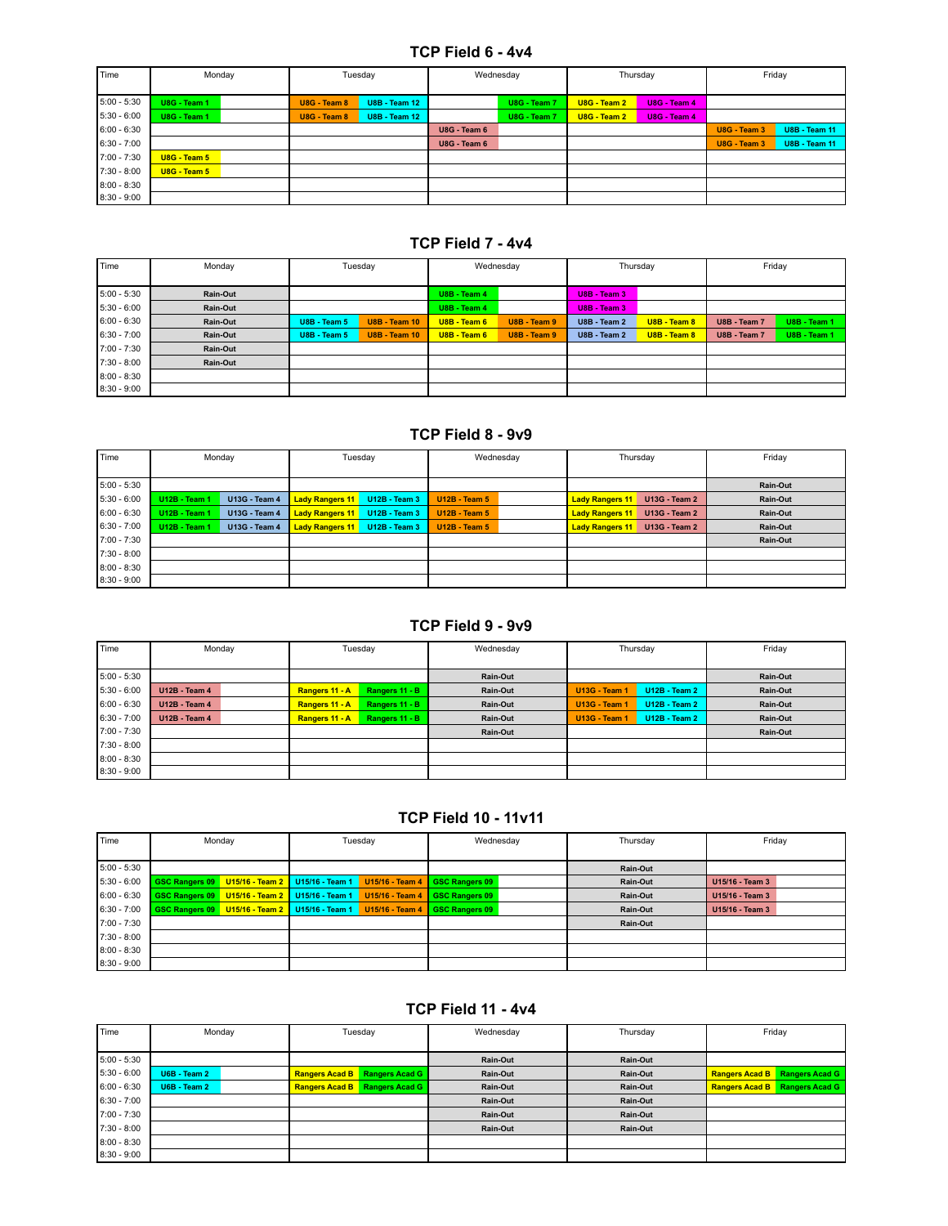#### **TCP Field 6 - 4v4**

| Time          | Monday       | Tuesday                              | Wednesday    | Thursday                       | Friday                               |
|---------------|--------------|--------------------------------------|--------------|--------------------------------|--------------------------------------|
| $5:00 - 5:30$ | U8G - Team 1 | U8G - Team 8<br><b>U8B - Team 12</b> | U8G - Team 7 | U8G - Team 2<br>U8G - Team 4   |                                      |
| $5:30 - 6:00$ | U8G - Team 1 | U8G - Team 8<br><b>U8B - Team 12</b> | U8G - Team 7 | $USG - Team 2$<br>U8G - Team 4 |                                      |
| $6:00 - 6:30$ |              |                                      | U8G - Team 6 |                                | <b>U8B - Team 11</b><br>U8G - Team 3 |
| $6:30 - 7:00$ |              |                                      | U8G - Team 6 |                                | <b>U8B - Team 11</b><br>U8G - Team 3 |
| 7:00 - 7:30   | U8G - Team 5 |                                      |              |                                |                                      |
| 7:30 - 8:00   | U8G - Team 5 |                                      |              |                                |                                      |
| $8:00 - 8:30$ |              |                                      |              |                                |                                      |
| $8:30 - 9:00$ |              |                                      |              |                                |                                      |

#### **TCP Field 7 - 4v4**

| Time          | Monday   | Tuesday             |                      |              | Wednesday    |                     | Thursday     |              | Friday       |  |
|---------------|----------|---------------------|----------------------|--------------|--------------|---------------------|--------------|--------------|--------------|--|
| $5:00 - 5:30$ | Rain-Out |                     |                      | U8B - Team 4 |              | <b>U8B - Team 3</b> |              |              |              |  |
| $5:30 - 6:00$ | Rain-Out |                     |                      | U8B - Team 4 |              | <b>U8B - Team 3</b> |              |              |              |  |
| $6:00 - 6:30$ | Rain-Out | <b>U8B - Team 5</b> | <b>U8B - Team 10</b> | U8B - Team 6 | U8B - Team 9 | U8B - Team 2        | U8B - Team 8 | U8B - Team 7 | U8B - Team 1 |  |
| $6:30 - 7:00$ | Rain-Out | <b>U8B - Team 5</b> | <b>U8B - Team 10</b> | U8B - Team 6 | U8B - Team 9 | U8B - Team 2        | U8B - Team 8 | U8B - Team 7 | U8B - Team 1 |  |
| 7:00 - 7:30   | Rain-Out |                     |                      |              |              |                     |              |              |              |  |
| 7:30 - 8:00   | Rain-Out |                     |                      |              |              |                     |              |              |              |  |
| $8:00 - 8:30$ |          |                     |                      |              |              |                     |              |              |              |  |
| $8:30 - 9:00$ |          |                     |                      |              |              |                     |              |              |              |  |

#### **TCP Field 8 - 9v9**

| Time          | Monday               |                      | Tuesday                |                      | Wednesday            |  | Thursday               |                      | Friday   |
|---------------|----------------------|----------------------|------------------------|----------------------|----------------------|--|------------------------|----------------------|----------|
| $5:00 - 5:30$ |                      |                      |                        |                      |                      |  |                        |                      | Rain-Out |
| $5:30 - 6:00$ | <b>U12B - Team 1</b> | <b>U13G - Team 4</b> | <b>Lady Rangers 11</b> | <b>U12B - Team 3</b> | <b>U12B - Team 5</b> |  | <b>Lady Rangers 11</b> | <b>U13G - Team 2</b> | Rain-Out |
| $6:00 - 6:30$ | <b>U12B - Team 1</b> | <b>U13G - Team 4</b> | <b>Lady Rangers 11</b> | <b>U12B - Team 3</b> | <b>U12B - Team 5</b> |  | <b>Lady Rangers 11</b> | <b>U13G - Team 2</b> | Rain-Out |
| $6:30 - 7:00$ | <b>U12B - Team 1</b> | <b>U13G - Team 4</b> | <b>Lady Rangers 11</b> | <b>U12B - Team 3</b> | <b>U12B - Team 5</b> |  | <b>Lady Rangers 11</b> | <b>U13G - Team 2</b> | Rain-Out |
| 7:00 - 7:30   |                      |                      |                        |                      |                      |  |                        |                      | Rain-Out |
| 7:30 - 8:00   |                      |                      |                        |                      |                      |  |                        |                      |          |
| $8:00 - 8:30$ |                      |                      |                        |                      |                      |  |                        |                      |          |
| $8:30 - 9:00$ |                      |                      |                        |                      |                      |  |                        |                      |          |

#### **TCP Field 9 - 9v9**

| Time          | Monday               | Tuesday                          | Wednesday | Thursday                                     |          |
|---------------|----------------------|----------------------------------|-----------|----------------------------------------------|----------|
| $5:00 - 5:30$ |                      |                                  | Rain-Out  |                                              | Rain-Out |
| $5:30 - 6:00$ | <b>U12B - Team 4</b> | Rangers 11 - A<br>Rangers 11 - B | Rain-Out  | <b>U13G - Team 1</b><br><b>U12B - Team 2</b> | Rain-Out |
| $6:00 - 6:30$ | <b>U12B - Team 4</b> | Rangers 11 - A<br>Rangers 11 - B | Rain-Out  | <b>U13G - Team 1</b><br><b>U12B - Team 2</b> | Rain-Out |
| $6:30 - 7:00$ | <b>U12B - Team 4</b> | Rangers 11 - B<br>Rangers 11 - A | Rain-Out  | <b>U13G - Team 1</b><br><b>U12B - Team 2</b> | Rain-Out |
| 7:00 - 7:30   |                      |                                  | Rain-Out  |                                              | Rain-Out |
| $7:30 - 8:00$ |                      |                                  |           |                                              |          |
| $8:00 - 8:30$ |                      |                                  |           |                                              |          |
| $8:30 - 9:00$ |                      |                                  |           |                                              |          |

#### **TCP Field 10 - 11v11**

| Time          | Monday                |  | Tuesday                           |                 |                       | Wednesday | Thursday | Friday          |  |
|---------------|-----------------------|--|-----------------------------------|-----------------|-----------------------|-----------|----------|-----------------|--|
| $5:00 - 5:30$ |                       |  |                                   |                 |                       |           | Rain-Out |                 |  |
| $5:30 - 6:00$ | <b>GSC Rangers 09</b> |  | U15/16 - Team 2 U15/16 - Team 1   | U15/16 - Team 4 | <b>GSC Rangers 09</b> |           | Rain-Out | U15/16 - Team 3 |  |
| $6:00 - 6:30$ | <b>GSC Rangers 09</b> |  | U15/16 - Team 2   U15/16 - Team 1 | U15/16 - Team 4 | <b>GSC Rangers 09</b> |           | Rain-Out | U15/16 - Team 3 |  |
| $6:30 - 7:00$ | <b>GSC Rangers 09</b> |  | U15/16 - Team 2   U15/16 - Team 1 | U15/16 - Team 4 | <b>GSC Rangers 09</b> |           | Rain-Out | U15/16 - Team 3 |  |
| 7:00 - 7:30   |                       |  |                                   |                 |                       |           | Rain-Out |                 |  |
| 7:30 - 8:00   |                       |  |                                   |                 |                       |           |          |                 |  |
| $8:00 - 8:30$ |                       |  |                                   |                 |                       |           |          |                 |  |
| $8:30 - 9:00$ |                       |  |                                   |                 |                       |           |          |                 |  |

## **TCP Field 11 - 4v4**

| Time          | Monday       | Tuesday                              | Wednesday | Thursday | Friday                               |  |
|---------------|--------------|--------------------------------------|-----------|----------|--------------------------------------|--|
| $5:00 - 5:30$ |              |                                      | Rain-Out  | Rain-Out |                                      |  |
| $5:30 - 6:00$ | U6B - Team 2 | <b>Rangers Acad B</b> Rangers Acad G | Rain-Out  | Rain-Out | <b>Rangers Acad B</b> Rangers Acad G |  |
| $6:00 - 6:30$ | U6B - Team 2 | <b>Rangers Acad B</b> Rangers Acad G | Rain-Out  | Rain-Out | <b>Rangers Acad B</b> Rangers Acad G |  |
| $6:30 - 7:00$ |              |                                      | Rain-Out  | Rain-Out |                                      |  |
| 7:00 - 7:30   |              |                                      | Rain-Out  | Rain-Out |                                      |  |
| $7:30 - 8:00$ |              |                                      | Rain-Out  | Rain-Out |                                      |  |
| $8:00 - 8:30$ |              |                                      |           |          |                                      |  |
| $8:30 - 9:00$ |              |                                      |           |          |                                      |  |